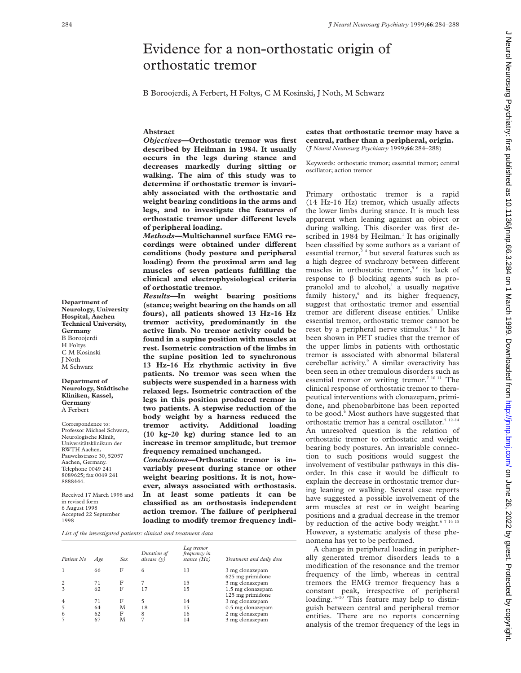# Evidence for a non-orthostatic origin of orthostatic tremor

B Boroojerdi, A Ferbert, H Foltys, C M Kosinski, J Noth, M Schwarz

## **Abstract**

*Objectives***—Orthostatic tremor was first described by Heilman in 1984. It usually occurs in the legs during stance and decreases markedly during sitting or walking. The aim of this study was to determine if orthostatic tremor is invariably associated with the orthostatic and weight bearing conditions in the arms and legs, and to investigate the features of orthostatic tremor under different levels of peripheral loading.**

*Methods—***Multichannel surface EMG re**cordings were obtained under different **conditions (body posture and peripheral loading) from the proximal arm and leg muscles of seven patients fulfilling the clinical and electrophysiological criteria of orthostatic tremor.**

*Results—***In weight bearing positions (stance; weight bearing on the hands on all fours), all patients showed 13 Hz-16 Hz tremor activity, predominantly in the active limb. No tremor activity could be found in a supine position with muscles at rest. Isometric contraction of the limbs in the supine position led to synchronous 13 Hz-16 Hz rhythmic activity in five patients. No tremor was seen when the subjects were suspended in a harness with relaxed legs. Isometric contraction of the legs in this position produced tremor in two patients. A stepwise reduction of the body weight by a harness reduced the tremor activity. Additional loading (10 kg-20 kg) during stance led to an increase in tremor amplitude, but tremor frequency remained unchanged.**

*Conclusions—***Orthostatic tremor is invariably present during stance or other weight bearing positions. It is not, however, always associated with orthostasis. In at least some patients it can be classified as an orthostasis independent action tremor. The failure of peripheral loading to modify tremor frequency indi-**

*List of the investigated patients: clinical and treatment data*

| Patient No     | Age | Sex | Duration of<br>disease(v) | Leg tremor<br>frequency in<br>stance $(Hz)$ | Treatment and daily dose |
|----------------|-----|-----|---------------------------|---------------------------------------------|--------------------------|
|                | 66  | F   | 6                         | 13                                          | 3 mg clonazepam          |
|                |     |     |                           |                                             | 625 mg primidone         |
| $\overline{c}$ | 71  | F   |                           | 15                                          | 3 mg clonazepam          |
| 3              | 62  | F   | 17                        | 15                                          | 1.5 mg clonazepam        |
|                |     |     |                           |                                             | 125 mg primidone         |
| $\overline{4}$ | 71  | F   | 5                         | 14                                          | 3 mg clonazepam          |
| 5              | 64  | M   | 18                        | 15                                          | 0.5 mg clonazepam        |
| 6              | 62  | F   | 8                         | 16                                          | 2 mg clonazepam          |
|                | 67  | М   |                           | 14                                          | 3 mg clonazepam          |

## **cates that orthostatic tremor may have a central, rather than a peripheral, origin.** (*J Neurol Neurosurg Psychiatry* 1999;**66**:284–288)

Keywords: orthostatic tremor; essential tremor; central oscillator; action tremor

Primary orthostatic tremor is a rapid  $(14$  Hz-16 Hz) tremor, which usually affects the lower limbs during stance. It is much less apparent when leaning against an object or during walking. This disorder was first described in 1984 by Heilman.<sup>1</sup> It has originally been classified by some authors as a variant of essential tremor, $24$  but several features such as a high degree of synchrony between different muscles in orthostatic tremor,<sup>56</sup> its lack of response to  $\beta$  blocking agents such as propranolol and to alcohol, $\frac{1}{2}$  a usually negative family history,<sup>6</sup> and its higher frequency, suggest that orthostatic tremor and essential tremor are different disease entities.<sup>7</sup> Unlike essential tremor, orthostatic tremor cannot be reset by a peripheral nerve stimulus.<sup>68</sup> It has been shown in PET studies that the tremor of the upper limbs in patients with orthostatic tremor is associated with abnormal bilateral cerebellar activity.<sup>9</sup> A similar overactivity has been seen in other tremulous disorders such as essential tremor or writing tremor.<sup>7</sup> <sup>10–11</sup> The clinical response of orthostatic tremor to therapeutical interventions with clonazepam, primidone, and phenobarbitone has been reported to be good.<sup>6</sup> Most authors have suggested that orthostatic tremor has a central oscillator.<sup>5 12-14</sup> An unresolved question is the relation of orthostatic tremor to orthostatic and weight bearing body postures. An invariable connection to such positions would suggest the involvement of vestibular pathways in this disorder. In this case it would be difficult to explain the decrease in orthostatic tremor during leaning or walking. Several case reports have suggested a possible involvement of the arm muscles at rest or in weight bearing positions and a gradual decrease in the tremor by reduction of the active body weight.<sup>6 7 14 15</sup> However, a systematic analysis of these phenomena has yet to be performed.

A change in peripheral loading in peripherally generated tremor disorders leads to a modification of the resonance and the tremor frequency of the limb, whereas in central tremors the EMG tremor frequency has a constant peak, irrespective of peripheral loading.<sup>16–20</sup> This feature may help to distinguish between central and peripheral tremor entities. There are no reports concerning analysis of the tremor frequency of the legs in

**Department of Neurology, University Hospital, Aachen Technical University, Germany** B Boroojerdi H Foltys C M Kosinski J Noth M Schwarz

**Department of Neurology, Städtische Kliniken, Kassel, Germany** A Ferbert

Correspondence to: Professor Michael Schwarz, Neurologische Klinik, Universitätsklinikum der RWTH Aachen, Pauwelsstrasse 30, 52057 Aachen, Germany. Telephone 0049 241 8089625; fax 0049 241 8888444.

Received 17 March 1998 and in revised form 6 August 1998 Accepted 22 September 1998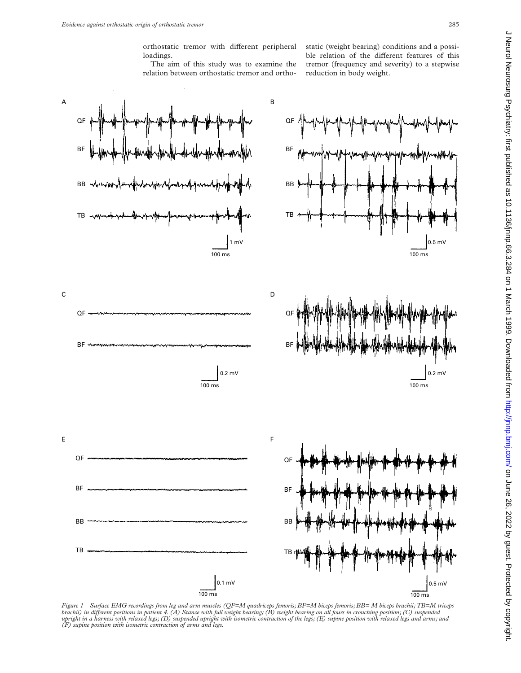orthostatic tremor with different peripheral loadings.

The aim of this study was to examine the relation between orthostatic tremor and orthostatic (weight bearing) conditions and a possible relation of the different features of this tremor (frequency and severity) to a stepwise reduction in body weight.



Figure 1 Surface EMG recordings from leg and arm muscles (QF=M quadriceps femoris; BF=M biceps femoris; BB= M biceps brachii; TB=M triceps<br>brachii) in different positions in patient 4. (A) Stance with full weight bearing; *upright in a harness with relaxed legs; (D) suspended upright with isometric contraction of the legs; (E) supine position with relaxed legs and arms; and (F) supine position with isometric contraction of arms and legs.*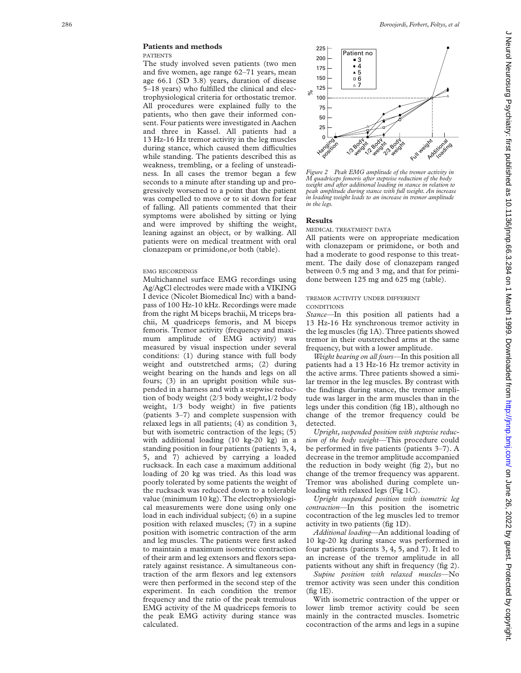#### **Patients and methods PATIENTS**

The study involved seven patients (two men and five women, age range 62–71 years, mean age 66.1 (SD 3.8) years, duration of disease 5–18 years) who fulfilled the clinical and electrophysiological criteria for orthostatic tremor. All procedures were explained fully to the patients, who then gave their informed consent. Four patients were investigated in Aachen and three in Kassel. All patients had a 13 Hz-16 Hz tremor activity in the leg muscles during stance, which caused them difficulties while standing. The patients described this as weakness, trembling, or a feeling of unsteadiness. In all cases the tremor began a few seconds to a minute after standing up and progressively worsened to a point that the patient was compelled to move or to sit down for fear of falling. All patients commented that their symptoms were abolished by sitting or lying and were improved by shifting the weight, leaning against an object, or by walking. All patients were on medical treatment with oral clonazepam or primidone,or both (table).

## EMG RECORDINGS

Multichannel surface EMG recordings using Ag/AgCl electrodes were made with a VIKING I device (Nicolet Biomedical Inc) with a bandpass of 100 Hz-10 kHz. Recordings were made from the right M biceps brachii, M triceps brachii, M quadriceps femoris, and M biceps femoris. Tremor activity (frequency and maximum amplitude of EMG activity) was measured by visual inspection under several conditions: (1) during stance with full body weight and outstretched arms; (2) during weight bearing on the hands and legs on all fours; (3) in an upright position while suspended in a harness and with a stepwise reduction of body weight (2/3 body weight,1/2 body weight, 1/3 body weight) in five patients (patients 3–7) and complete suspension with relaxed legs in all patients; (4) as condition 3, but with isometric contraction of the legs; (5) with additional loading (10 kg-20 kg) in a standing position in four patients (patients 3, 4, 5, and 7) achieved by carrying a loaded rucksack. In each case a maximum additional loading of 20 kg was tried. As this load was poorly tolerated by some patients the weight of the rucksack was reduced down to a tolerable value (minimum 10 kg). The electrophysiological measurements were done using only one load in each individual subject; (6) in a supine position with relaxed muscles; (7) in a supine position with isometric contraction of the arm and leg muscles. The patients were first asked to maintain a maximum isometric contraction of their arm and leg extensors and flexors separately against resistance. A simultaneous contraction of the arm flexors and leg extensors were then performed in the second step of the experiment. In each condition the tremor frequency and the ratio of the peak tremulous EMG activity of the M quadriceps femoris to the peak EMG activity during stance was calculated.

225 Patient no<br>■ 3 200 34567  $\bullet$  4 175  $\overline{4}$  5 150  $\Box$  6 125  $\geqslant$ 100 75 50 250 Full weight a little Hangiro 1/3 Bootht It a Bodyt Bodyt position

*Figure 2 Peak EMG amplitude of the tremor activity in M quadriceps femoris after stepwise reduction of the body weight and after additional loading in stance in relation to peak amplitude during stance with full weight. An increase in loading weight leads to an increase in tremor amplitude in the legs.*

#### **Results**

#### MEDICAL TREATMENT DATA

All patients were on appropriate medication with clonazepam or primidone, or both and had a moderate to good response to this treatment. The daily dose of clonazepam ranged between 0.5 mg and 3 mg, and that for primidone between 125 mg and 625 mg (table).

## TREMOR ACTIVITY UNDER DIFFERENT

### **CONDITIONS**

*Stance—*In this position all patients had a 13 Hz-16 Hz synchronous tremor activity in the leg muscles (fig 1A). Three patients showed tremor in their outstretched arms at the same frequency, but with a lower amplitude.

*Weight bearing on all fours—*In this position all patients had a 13 Hz-16 Hz tremor activity in the active arms. Three patients showed a similar tremor in the leg muscles. By contrast with the findings during stance, the tremor amplitude was larger in the arm muscles than in the legs under this condition (fig 1B), although no change of the tremor frequency could be detected.

*Upright, suspended position with stepwise reduction of the body weight—*This procedure could be performed in five patients (patients 3–7). A decrease in the tremor amplitude accompanied the reduction in body weight (fig 2), but no change of the tremor frequency was apparent. Tremor was abolished during complete unloading with relaxed legs (Fig 1C).

*Upright suspended position with isometric leg contraction—*In this position the isometric cocontraction of the leg muscles led to tremor activity in two patients (fig 1D).

*Additional loading—*An additional loading of 10 kg-20 kg during stance was performed in four patients (patients 3, 4, 5, and 7). It led to an increase of the tremor amplitude in all patients without any shift in frequency (fig 2).

*Supine position with relaxed muscles—*No tremor activity was seen under this condition (fig 1E).

With isometric contraction of the upper or lower limb tremor activity could be seen mainly in the contracted muscles. Isometric cocontraction of the arms and legs in a supine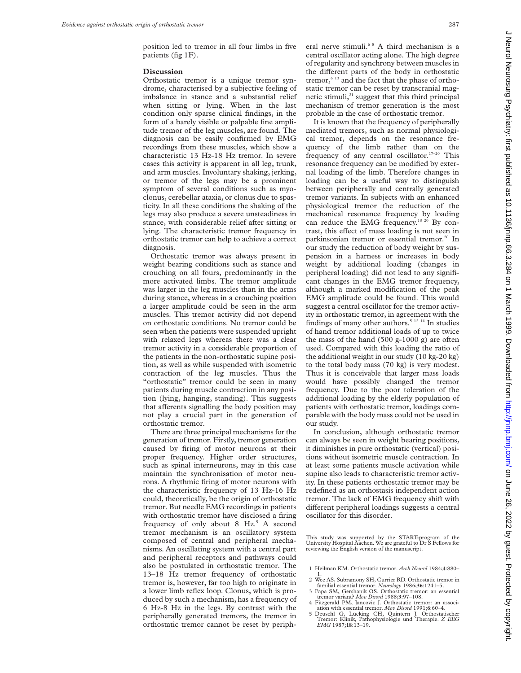position led to tremor in all four limbs in five patients (fig 1F).

## **Discussion**

Orthostatic tremor is a unique tremor syndrome, characterised by a subjective feeling of imbalance in stance and a substantial relief when sitting or lying. When in the last condition only sparse clinical findings, in the form of a barely visible or palpable fine amplitude tremor of the leg muscles, are found. The diagnosis can be easily confirmed by EMG recordings from these muscles, which show a characteristic 13 Hz-18 Hz tremor. In severe cases this activity is apparent in all leg, trunk, and arm muscles. Involuntary shaking, jerking, or tremor of the legs may be a prominent symptom of several conditions such as myoclonus, cerebellar ataxia, or clonus due to spasticity. In all these conditions the shaking of the legs may also produce a severe unsteadiness in stance, with considerable relief after sitting or lying. The characteristic tremor frequency in orthostatic tremor can help to achieve a correct diagnosis.

Orthostatic tremor was always present in weight bearing conditions such as stance and crouching on all fours, predominantly in the more activated limbs. The tremor amplitude was larger in the leg muscles than in the arms during stance, whereas in a crouching position a larger amplitude could be seen in the arm muscles. This tremor activity did not depend on orthostatic conditions. No tremor could be seen when the patients were suspended upright with relaxed legs whereas there was a clear tremor activity in a considerable proportion of the patients in the non-orthostatic supine position, as well as while suspended with isometric contraction of the leg muscles. Thus the "orthostatic" tremor could be seen in many patients during muscle contraction in any position (lying, hanging, standing). This suggests that afferents signalling the body position may not play a crucial part in the generation of orthostatic tremor.

There are three principal mechanisms for the generation of tremor. Firstly, tremor generation caused by firing of motor neurons at their proper frequency. Higher order structures, such as spinal interneurons, may in this case maintain the synchronisation of motor neurons. A rhythmic firing of motor neurons with the characteristic frequency of 13 Hz-16 Hz could, theoretically, be the origin of orthostatic tremor. But needle EMG recordings in patients with orthostatic tremor have disclosed a firing frequency of only about 8 Hz.<sup>5</sup> A second tremor mechanism is an oscillatory system composed of central and peripheral mechanisms. An oscillating system with a central part and peripheral receptors and pathways could also be postulated in orthostatic tremor. The 13–18 Hz tremor frequency of orthostatic tremor is, however, far too high to originate in a lower limb reflex loop. Clonus, which is produced by such a mechanism, has a frequency of 6 Hz-8 Hz in the legs. By contrast with the peripherally generated tremors, the tremor in orthostatic tremor cannot be reset by peripheral nerve stimuli.<sup>6 8</sup> A third mechanism is a central oscillator acting alone. The high degree of regularity and synchrony between muscles in the different parts of the body in orthostatic tremor,<sup>6 13</sup> and the fact that the phase of orthostatic tremor can be reset by transcranial magnetic stimuli, $^{21}$  suggest that this third principal mechanism of tremor generation is the most probable in the case of orthostatic tremor.

It is known that the frequency of peripherally mediated tremors, such as normal physiological tremor, depends on the resonance frequency of the limb rather than on the frequency of any central oscillator.<sup>17-20</sup> This resonance frequency can be modified by external loading of the limb. Therefore changes in loading can be a useful way to distinguish between peripherally and centrally generated tremor variants. In subjects with an enhanced physiological tremor the reduction of the mechanical resonance frequency by loading can reduce the EMG frequency.<sup>18 20</sup> By contrast, this effect of mass loading is not seen in parkinsonian tremor or essential tremor.<sup>20</sup> In our study the reduction of body weight by suspension in a harness or increases in body weight by additional loading (changes in peripheral loading) did not lead to any significant changes in the EMG tremor frequency, although a marked modification of the peak EMG amplitude could be found. This would suggest a central oscillator for the tremor activity in orthostatic tremor, in agreement with the findings of many other authors.<sup>5 12–14</sup> In studies of hand tremor additional loads of up to twice the mass of the hand (500 g-1000 g) are often used. Compared with this loading the ratio of the additional weight in our study (10 kg-20 kg) to the total body mass (70 kg) is very modest. Thus it is conceivable that larger mass loads would have possibly changed the tremor frequency. Due to the poor toleration of the additional loading by the elderly population of patients with orthostatic tremor, loadings comparable with the body mass could not be used in our study.

In conclusion, although orthostatic tremor can always be seen in weight bearing positions, it diminishes in pure orthostatic (vertical) positions without isometric muscle contraction. In at least some patients muscle activation while supine also leads to characteristic tremor activity. In these patients orthostatic tremor may be redefined as an orthostasis independent action tremor. The lack of EMG frequency shift with different peripheral loadings suggests a central oscillator for this disorder.

This study was supported by the START-program of the University Hospital Aachen. We are grateful to Dr S Fellows for reviewing the English version of the manuscript.

- 1 Heilman KM. Orthostatic tremor. *Arch Neurol* 1984;**4**:880–
- 1. 2 Wee AS, Subramony SH, Currier RD. Orthostatic tremor in familial essential tremor. *Neurology* 1986;**36**:1241–5.
- 3 Papa SM, Gershanik OS. Orthostatic tremor: an essential tremor variant? *Mov Disord* 1988;**3**:97–108.
- 4 Fitzgerald PM, Jancovic J. Orthostatic tremor: an association with essential tremor. *Mov Disord* 1991;**6**:60–4.
- 5 Deuschl G, Lücking CH, Quintern J. Orthostatischer Tremor: Klinik, Pathophysiologie und Therapie. *Z EEG EMG* 1987;**18**:13–19.